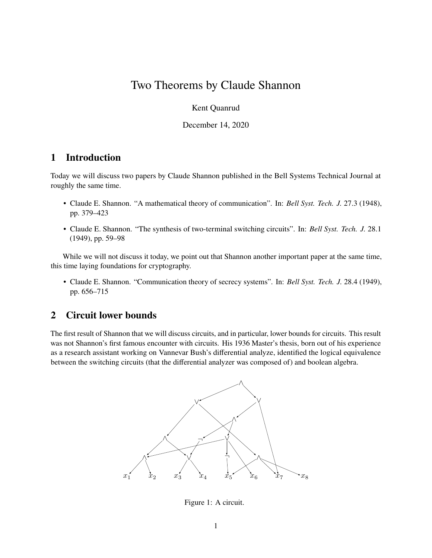# <span id="page-0-1"></span>Two Theorems by Claude Shannon

Kent Quanrud

December 14, 2020

## **1 Introduction**

Today we will discuss two papers by Claude Shannon published in the Bell Systems Technical Journal at roughly the same time.

- Claude E. Shannon. "A mathematical theory of communication". In: *Bell Syst. Tech. J.* 27.3 (1948), pp. 379–423
- Claude E. Shannon. "The synthesis of two-terminal switching circuits". In: *Bell Syst. Tech. J.* 28.1 (1949), pp. 59–98

While we will not discuss it today, we point out that Shannon another important paper at the same time, this time laying foundations for cryptography.

• Claude E. Shannon. "Communication theory of secrecy systems". In: *Bell Syst. Tech. J.* 28.4 (1949), pp. 656–715

## **2 Circuit lower bounds**

The first result of Shannon that we will discuss circuits, and in particular, lower bounds for circuits. This result was not Shannon's first famous encounter with circuits. His 1936 Master's thesis, born out of his experience as a research assistant working on Vannevar Bush's differential analyze, identified the logical equivalence between the switching circuits (that the differential analyzer was composed of) and boolean algebra.



<span id="page-0-0"></span>Figure 1: A circuit.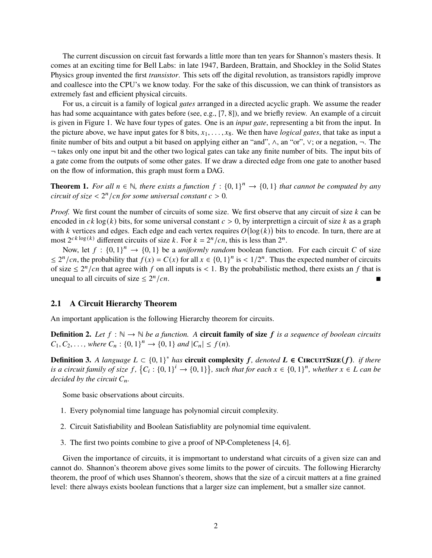The current discussion on circuit fast forwards a little more than ten years for Shannon's masters thesis. It comes at an exciting time for Bell Labs: in late 1947, Bardeen, Brattain, and Shockley in the Solid States Physics group invented the first *transistor*. This sets off the digital revolution, as transistors rapidly improve and coallesce into the CPU's we know today. For the sake of this discussion, we can think of transistors as extremely fast and efficient physical circuits.

For us, a circuit is a family of logical *gates* arranged in a directed acyclic graph. We assume the reader has had some acquaintance with gates before (see, e.g., [\[7,](#page-11-0) [8\]](#page-11-1)), and we briefly review. An example of a circuit is given in [Figure 1.](#page-0-0) We have four types of gates. One is an *input gate*, representing a bit from the input. In the picture above, we have input gates for 8 bits,  $x_1, \ldots, x_8$ . We then have *logical gates*, that take as input a finite number of bits and output a bit based on applying either an "and", ∧, an "or", ∨; or a negation, ¬. The ¬ takes only one input bit and the other two logical gates can take any finite number of bits. The input bits of a gate come from the outputs of some other gates. If we draw a directed edge from one gate to another based on the flow of information, this graph must form a DAG.

**Theorem 1.** For all  $n \in \mathbb{N}$ , there exists a function  $f : \{0,1\}^n \to \{0,1\}$  that cannot be computed by any *circuit of size*  $\langle 2^n / cn$  *for some universal constant*  $c > 0$ *.* 

*Proof.* We first count the number of circuits of some size. We first observe that any circuit of size k can be encoded in  $ck \log(k)$  bits, for some universal constant  $c > 0$ , by interprettign a circuit of size k as a graph with k vertices and edges. Each edge and each vertex requires  $O(\log(k))$  bits to encode. In turn, there are at most  $2^{ck \log(k)}$  different circuits of size k. For  $k = 2^n / cn$ , this is less than  $2^n$ .

Now, let  $f : \{0,1\}^n \to \{0,1\}$  be a *uniformly random* boolean function. For each circuit C of size  $\leq 2^n/cn$ , the probability that  $f(x) = C(x)$  for all  $x \in \{0, 1\}^n$  is  $\lt 1/2^n$ . Thus the expected number of circuits of size  $\leq 2^n/cn$  that agree with f on all inputs is < 1. By the probabilistic method, there exists an f that is unequal to all circuits of size  $\leq 2^n$  $\sqrt{cn}$ .

#### **2.1 A Circuit Hierarchy Theorem**

An important application is the following Hierarchy theorem for circuits.

**Definition 2.** Let  $f : \mathbb{N} \to \mathbb{N}$  be a function. A **circuit family of size**  $f$  *is a sequence of boolean circuits*  $C_1, C_2, \ldots$ , where  $C_n : \{0, 1\}^n \to \{0, 1\}$  and  $|C_n| \le f(n)$ .

**Definition 3.** *A language*  $L \subset \{0, 1\}^*$  *has* **circuit complexity**  $f$ *, denoted*  $L \in$  **CIRCUITSIZE**( $f$ )*. if there* is a circuit family of size  $f$ ,  $\{C_i : \{0,1\}^i \to \{0,1\}\}$ , such that for each  $x \in \{0,1\}^n$ , whether  $x \in L$  can be *decided by the circuit*  $C_n$ *.* 

Some basic observations about circuits.

- 1. Every polynomial time language has polynomial circuit complexity.
- 2. Circuit Satisfiability and Boolean Satisfiablity are polynomial time equivalent.
- 3. The first two points combine to give a proof of NP-Completeness [\[4,](#page-11-2) [6\]](#page-11-3).

Given the importance of circuits, it is impmortant to understand what circuits of a given size can and cannot do. Shannon's theorem above gives some limits to the power of circuits. The following Hierarchy theorem, the proof of which uses Shannon's theorem, shows that the size of a circuit matters at a fine grained level: there always exists boolean functions that a larger size can implement, but a smaller size cannot.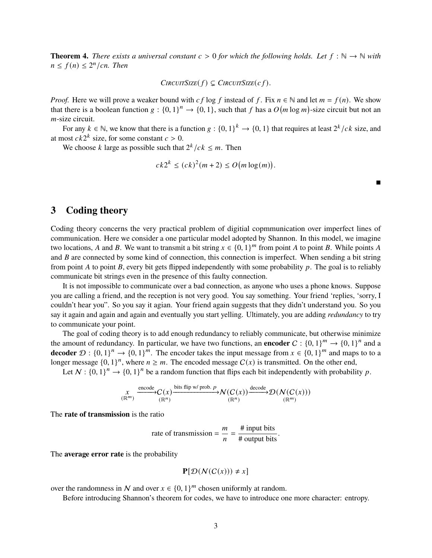**Theorem 4.** *There exists a universal constant*  $c > 0$  *for which the following holds. Let*  $f : \mathbb{N} \to \mathbb{N}$  *with*  $n \leq f(n) \leq 2^n / cn$ . Then

 $C$ *IRCUITSIZE* $(f) \subseteq C$ *IRCUITSIZE* $(c f)$ .

*Proof.* Here we will prove a weaker bound with  $cf \log f$  instead of  $f$ . Fix  $n \in \mathbb{N}$  and let  $m = f(n)$ . We show that there is a boolean function  $g: \{0,1\}^n \to \{0,1\}$ , such that f has a  $O(m \log m)$ -size circuit but not an  $m$ -size circuit.

For any  $k \in \mathbb{N}$ , we know that there is a function  $g: \{0,1\}^k \to \{0,1\}$  that requires at least  $2^k/ck$  size, and at most  $ck2^k$  size, for some constant  $c > 0$ .

We choose k large as possible such that  $2^{k}/ck \leq m$ . Then

$$
ck2^k \le (ck)^2(m+2) \le O(m\log(m)).
$$

 $\blacksquare$ 

## <span id="page-2-0"></span>**3 Coding theory**

Coding theory concerns the very practical problem of digitial copmmunication over imperfect lines of communication. Here we consider a one particular model adopted by Shannon. In this model, we imagine two locations, A and B. We want to transmit a bit string  $x \in \{0, 1\}^m$  from point A to point B. While points A and  $B$  are connected by some kind of connection, this connection is imperfect. When sending a bit string from point A to point B, every bit gets flipped independently with some probability  $p$ . The goal is to reliably communicate bit strings even in the presence of this faulty connection.

It is not impossible to communicate over a bad connection, as anyone who uses a phone knows. Suppose you are calling a friend, and the reception is not very good. You say something. Your friend 'replies, 'sorry, I couldn't hear you". So you say it agian. Your friend again suggests that they didn't understand you. So you say it again and again and again and eventually you start yelling. Ultimately, you are adding *redundancy* to try to communicate your point.

The goal of coding theory is to add enough redundancy to reliably communicate, but otherwise minimize the amount of redundancy. In particular, we have two functions, an **encoder**  $C : \{0, 1\}^m \to \{0, 1\}^n$  and a **decoder**  $\mathcal{D}: \{0,1\}^n \to \{0,1\}^m$ . The encoder takes the input message from  $x \in \{0,1\}^m$  and maps to to a longer message  $\{0, 1\}^n$ , where  $n \geq m$ . The encoded message  $C(x)$  is transmitted. On the other end,

Let  $N : \{0, 1\}^n \to \{0, 1\}^n$  be a random function that flips each bit independently with probability p.

$$
\underset{(\mathbb{R}^m)}{\underset{X}{\times}} \xrightarrow{\text{encode}} C(x) \xrightarrow{\text{bits flip w/prob. } p} \mathcal{N}(C(x)) \xrightarrow{\text{decode}} \mathcal{D}(\mathcal{N}(C(x)))
$$

The **rate of transmission** is the ratio

rate of transmission = 
$$
\frac{m}{n} = \frac{\text{# input bits}}{\text{# output bits}}
$$

.

The **average error rate** is the probability

$$
\mathbf{P}[\mathcal{D}(\mathcal{N}(C(x))) \neq x]
$$

over the randomness in N and over  $x \in \{0, 1\}^m$  chosen uniformly at random.

Before introducing Shannon's theorem for codes, we have to introduce one more character: entropy.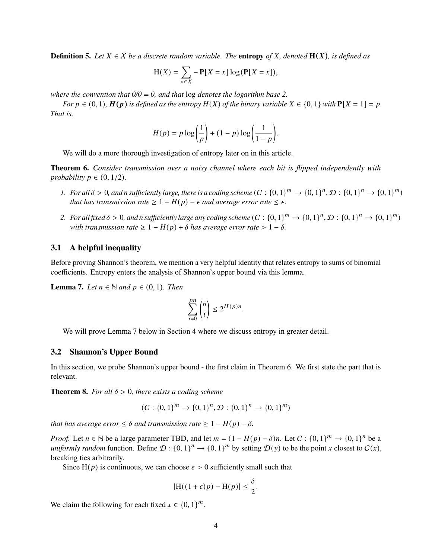**Definition 5.** Let  $X \in \mathcal{X}$  be a discrete random variable. The **entropy** of X, denoted  $\mathbf{H}(X)$ , is defined as

$$
H(X) = \sum_{x \in X} -P[X = x] \log(P[X = x]),
$$

*where the convention that 0/0 = 0, and that* log *denotes the logarithm base 2.*

*For*  $p \in (0, 1)$ *,*  $H(p)$  *is defined as the entropy*  $H(X)$  *of the binary variable*  $X \in \{0, 1\}$  *with*  $P[X = 1] = p$ *. That is,*

$$
H(p) = p \log \left(\frac{1}{p}\right) + (1-p) \log \left(\frac{1}{1-p}\right).
$$

We will do a more thorough investigation of entropy later on in this article.

<span id="page-3-1"></span>**Theorem 6.** *Consider transmission over a noisy channel where each bit is flipped independently with probability*  $p \in (0, 1/2)$ *.* 

- *1.* For all  $\delta > 0$ , and n sufficiently large, there is a coding scheme  $(C : \{0,1\}^m \to \{0,1\}^n, \mathcal{D} : \{0,1\}^n \to \{0,1\}^m)$ *that has transmission rate*  $\geq 1 - H(p) - \epsilon$  *and average error rate*  $\leq \epsilon$ *.*
- 2. For all fixed  $\delta > 0$ , and n sufficiently large any coding scheme  $(C:\{0,1\}^m \to \{0,1\}^n, \mathcal{D}:\{0,1\}^n \to \{0,1\}^m)$ *with transmission rate*  $\geq 1 - H(p) + \delta$  *has average error rate*  $> 1 - \delta$ *.*

### **3.1 A helpful inequality**

Before proving Shannon's theorem, we mention a very helpful identity that relates entropy to sums of binomial coefficients. Entropy enters the analysis of Shannon's upper bound via this lemma.

<span id="page-3-0"></span>**Lemma 7.** *Let*  $n \in \mathbb{N}$  *and*  $p \in (0, 1)$ *. Then* 

$$
\sum_{i=0}^{pn} \binom{n}{i} \le 2^{H(p)n}.
$$

We will prove [Lemma 7](#page-3-0) below in [Section 4](#page-6-0) where we discuss entropy in greater detail.

#### **3.2 Shannon's Upper Bound**

In this section, we probe Shannon's upper bound - the first claim in [Theorem 6.](#page-3-1) We first state the part that is relevant.

**Theorem 8.** *For all*  $\delta$  > 0*, there exists a coding scheme* 

$$
(C: \{0,1\}^m \to \{0,1\}^n, \mathcal{D}: \{0,1\}^n \to \{0,1\}^m)
$$

*that has average error*  $\leq \delta$  *and transmission rate*  $\geq 1 - H(p) - \delta$ *.* 

*Proof.* Let  $n \in \mathbb{N}$  be a large parameter TBD, and let  $m = (1 - H(p) - \delta)n$ . Let  $C : \{0, 1\}^m \to \{0, 1\}^n$  be a *uniformly random* function. Define  $\mathcal{D}: \{0,1\}^n \to \{0,1\}^m$  by setting  $\mathcal{D}(y)$  to be the point x closest to  $C(x)$ , breaking ties arbitrarily.

Since H( $p$ ) is continuous, we can choose  $\epsilon > 0$  sufficiently small such that

$$
|\mathrm{H}((1+\epsilon)p)-\mathrm{H}(p)|\leq \frac{\delta}{2}.
$$

We claim the following for each fixed  $x \in \{0, 1\}^m$ .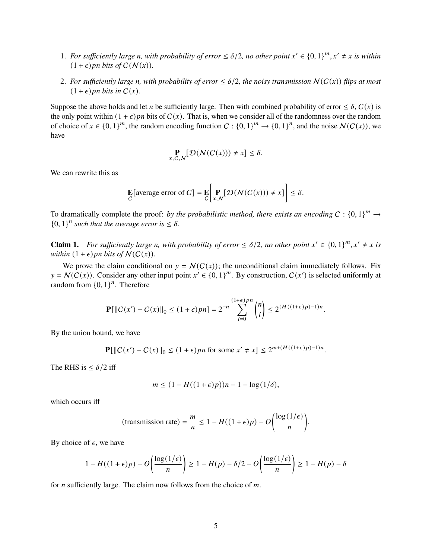- 1. For sufficiently large *n*, with probability of error  $\leq \delta/2$ , no other point  $x' \in \{0,1\}^m$ ,  $x' \neq x$  is within  $(1 + \epsilon)$ *pn bits of*  $C(N(x))$ .
- 2. For sufficiently large *n*, with probability of error  $\leq \delta/2$ , the noisy transmission  $N(C(x))$  flips at most  $(1 + \epsilon)$  *pn bits in*  $C(x)$ *.*

Suppose the above holds and let *n* be sufficiently large. Then with combined probability of error  $\leq \delta$ ,  $C(x)$  is the only point within  $(1 + \epsilon)$  *pn* bits of  $C(x)$ . That is, when we consider all of the randomness over the random of choice of  $x \in \{0,1\}^m$ , the random encoding function  $C: \{0,1\}^m \to \{0,1\}^n$ , and the noise  $\mathcal{N}(C(x))$ , we have

$$
\mathop{\mathbf{P}}_{x,C,N}[\mathcal{D}(\mathcal{N}(C(x))) \neq x] \leq \delta.
$$

We can rewrite this as

$$
\mathbf{E}[\text{average error of } C] = \mathbf{E} \bigg[ \mathbf{P}_{x,N} [\mathcal{D}(\mathcal{N}(C(x))) \neq x] \bigg] \leq \delta.
$$

To dramatically complete the proof: *by the probabilistic method, there exists an encoding*  $C : \{0,1\}^m \to$  ${0, 1}^n$  such that the average error is  $\leq \delta$ .

**Claim 1.** For sufficiently large n, with probability of error  $\leq \delta/2$ , no other point  $x' \in \{0,1\}^m$ ,  $x' \neq x$  is *within*  $(1 + \epsilon)$ *pn bits of*  $N(C(x))$ *.* 

We prove the claim conditional on  $y = N(C(x))$ ; the unconditional claim immediately follows. Fix  $y = \mathcal{N}(C(x))$ . Consider any other input point  $x' \in \{0, 1\}^m$ . By construction,  $C(x')$  is selected uniformly at random from  $\{0, 1\}^n$ . Therefore

$$
\mathbf{P}[\|C(x') - C(x)\|_0 \le (1+\epsilon)pn] = 2^{-n} \sum_{i=0}^{(1+\epsilon)pn} \binom{n}{i} \le 2^{(H((1+\epsilon)p)-1)n}.
$$

By the union bound, we have

$$
\mathbf{P}[\|C(x') - C(x)\|_0 \le (1+\epsilon)pn \text{ for some } x' \neq x] \le 2^{m+(H((1+\epsilon)p)-1)n}.
$$

The RHS is  $\leq \delta/2$  iff

$$
m \le (1 - H((1 + \epsilon)p))n - 1 - \log(1/\delta),
$$

which occurs iff

(transmission rate) = 
$$
\frac{m}{n} \le 1 - H((1 + \epsilon)p) - O\left(\frac{\log(1/\epsilon)}{n}\right)
$$
.

By choice of  $\epsilon$ , we have

$$
1 - H((1 + \epsilon)p) - O\left(\frac{\log(1/\epsilon)}{n}\right) \ge 1 - H(p) - \delta/2 - O\left(\frac{\log(1/\epsilon)}{n}\right) \ge 1 - H(p) - \delta
$$

for *n* sufficiently large. The claim now follows from the choice of  $m$ .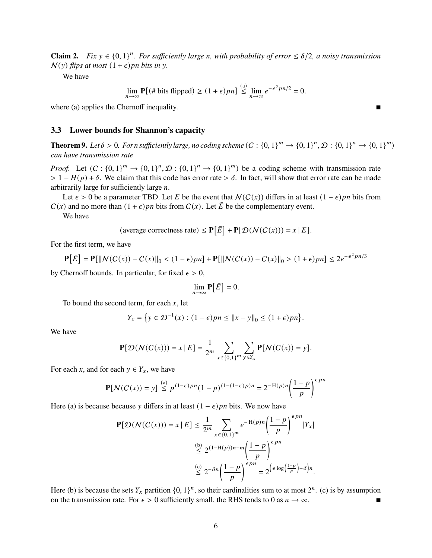**Claim 2.** *Fix*  $y \in \{0, 1\}^n$ . For sufficiently large *n*, with probability of error  $\leq \delta/2$ , a noisy transmission  $N(y)$  *flips at most*  $(1 + \epsilon)$ *pn bits in y.* 

We have

$$
\lim_{n \to \infty} \mathbf{P}[(\# \text{ bits flipped}) \ge (1+\epsilon)pn] \stackrel{\text{(a)}}{\le} \lim_{n \to \infty} e^{-\epsilon^2 pn/2} = 0.
$$

where (a) applies the Chernoff inequality.

#### **3.3 Lower bounds for Shannon's capacity**

**Theorem 9.** Let  $\delta > 0$ . For n sufficiently large, no coding scheme  $(C : \{0,1\}^m \to \{0,1\}^n, \mathcal{D} : \{0,1\}^n \to \{0,1\}^m)$ *can have transmission rate*

*Proof.* Let  $(C: \{0,1\}^m \to \{0,1\}^n, \mathcal{D}: \{0,1\}^m \to \{0,1\}^m$  be a coding scheme with transmission rate  $> 1 - H(p) + \delta$ . We claim that this code has error rate  $> \delta$ . In fact, will show that error rate can be made arbitrarily large for sufficiently large  $n$ .

Let  $\epsilon > 0$  be a parameter TBD. Let E be the event that  $\mathcal{N}(\mathcal{C}(x))$  differs in at least  $(1 - \epsilon)pn$  bits from  $C(x)$  and no more than  $(1 + \epsilon)$  *pn* bits from  $C(x)$ . Let  $\overline{E}$  be the complementary event.

We have

(average correctness rate) 
$$
\leq
$$
 **P**[ $\overline{E}$ ] + **P**[ $\mathcal{D}(N(C(x))) = x | E$ ].

For the first term, we have

$$
\mathbf{P}\big[\bar{E}\big] = \mathbf{P}[\|N(C(x)) - C(x)\|_0 < (1 - \epsilon)pn\] + \mathbf{P}[\|N(C(x)) - C(x)\|_0 > (1 + \epsilon)pn\] \le 2e^{-\epsilon^2pn/3}
$$

by Chernoff bounds. In particular, for fixed  $\epsilon > 0$ ,

$$
\lim_{n\to\infty} \mathbf{P}[\bar{E}] = 0.
$$

To bound the second term, for each  $x$ , let

$$
Y_x = \left\{ y \in \mathcal{D}^{-1}(x) : (1 - \epsilon)pn \le ||x - y||_0 \le (1 + \epsilon)pn \right\}.
$$

We have

$$
\mathbf{P}[\mathcal{D}(\mathcal{N}(C(x))) = x | E] = \frac{1}{2^m} \sum_{x \in \{0,1\}^m} \sum_{y \in Y_x} \mathbf{P}[\mathcal{N}(C(x)) = y].
$$

For each x, and for each  $y \in Y_x$ , we have

$$
\mathbf{P}[N(C(x)) = y] \stackrel{\text{(a)}}{\leq} p^{(1-\epsilon)p} (1-p)^{(1-(1-\epsilon)p)n} = 2^{-H(p)n} \left(\frac{1-p}{p}\right)^{\epsilon pn}
$$

Here (a) is because because y differs in at least  $(1 - \epsilon)$  *pn* bits. We now have

$$
\mathbf{P}[\mathcal{D}(\mathcal{N}(C(x))) = x | E] \le \frac{1}{2^m} \sum_{x \in \{0,1\}^m} e^{-H(p)n} \left(\frac{1-p}{p}\right)^{\epsilon pn} |Y_x|
$$
  

$$
\le 2^{(1-H(p))n-m} \left(\frac{1-p}{p}\right)^{\epsilon pn}
$$
  

$$
\le 2^{-\delta n} \left(\frac{1-p}{p}\right)^{\epsilon pn} = 2^{\left(\epsilon \log\left(\frac{1-p}{p}\right) - \delta\right)n}.
$$

Here (b) is because the sets  $Y_x$  partition  $\{0, 1\}^n$ , so their cardinalities sum to at most  $2^n$ . (c) is by assumption on the transmission rate. For  $\epsilon > 0$  sufficiently small, the RHS tends to 0 as  $n \to \infty$ .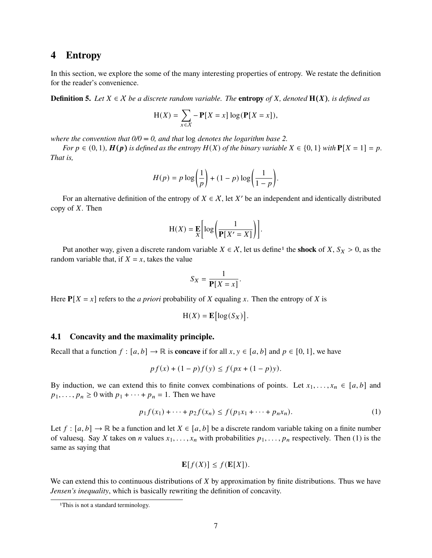### <span id="page-6-0"></span>**4 Entropy**

In this section, we explore the some of the many interesting properties of entropy. We restate the definition for the reader's convenience.

**Definition 5.** Let  $X \in \mathcal{X}$  be a discrete random variable. The **entropy** of X, denoted  $\mathbf{H}(X)$ , is defined as

$$
H(X) = \sum_{x \in X} -P[X = x] \log(P[X = x]),
$$

*where the convention that 0/0 = 0, and that* log *denotes the logarithm base 2.*

*For*  $p \in (0, 1)$ *,*  $H(p)$  *is defined as the entropy*  $H(X)$  *of the binary variable*  $X \in \{0, 1\}$  *with*  $P[X = 1] = p$ *. That is,*

$$
H(p) = p \log \left(\frac{1}{p}\right) + (1-p) \log \left(\frac{1}{1-p}\right).
$$

For an alternative definition of the entropy of  $X \in \mathcal{X}$ , let X' be an independent and identically distributed copy of  $X$ . Then

$$
H(X) = \mathop{\mathbf{E}}\limits_X \bigg[ \log \bigg( \frac{1}{\mathbf{P}[X' = X]} \bigg) \bigg].
$$

Put another way, given a discrete random variable  $X \in \mathcal{X}$ , let us define<sup>[1](#page-0-1)</sup> the **shock** of  $X, S_X > 0$ , as the random variable that, if  $X = x$ , takes the value

$$
S_X = \frac{1}{\mathbf{P}[X = x]}.
$$

Here  $P[X = x]$  refers to the *a priori* probability of X equaling x. Then the entropy of X is

$$
H(X) = \mathbf{E} [\log(S_X)].
$$

### <span id="page-6-1"></span>**4.1 Concavity and the maximality principle.**

Recall that a function  $f : [a, b] \to \mathbb{R}$  is **concave** if for all  $x, y \in [a, b]$  and  $p \in [0, 1]$ , we have

$$
pf(x) + (1 - p)f(y) \le f(px + (1 - p)y).
$$

By induction, we can extend this to finite convex combinations of points. Let  $x_1, \ldots, x_n \in [a, b]$  and  $p_1, \ldots, p_n \ge 0$  with  $p_1 + \cdots + p_n = 1$ . Then we have

$$
p_1 f(x_1) + \dots + p_2 f(x_n) \le f(p_1 x_1 + \dots + p_n x_n). \tag{1}
$$

Let  $f : [a, b] \to \mathbb{R}$  be a function and let  $X \in [a, b]$  be a discrete random variable taking on a finite number of valuesq. Say X takes on *n* values  $x_1, \ldots, x_n$  with probabilities  $p_1, \ldots, p_n$  respectively. Then [\(1\)](#page-6-1) is the same as saying that

$$
\mathbf{E}[f(X)] \le f(\mathbf{E}[X]).
$$

We can extend this to continuous distributions of  $X$  by approximation by finite distributions. Thus we have *Jensen's inequality*, which is basically rewriting the definition of concavity.

<sup>&</sup>lt;sup>1</sup>This is not a standard terminology.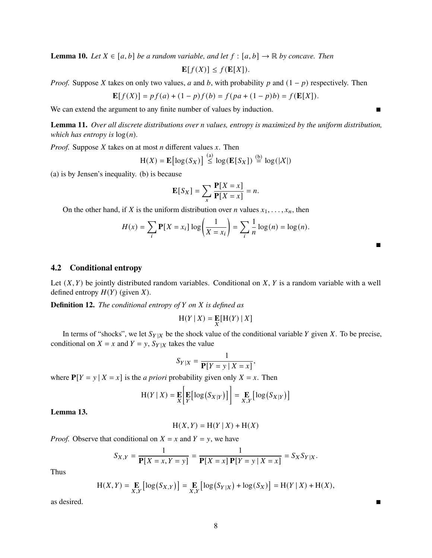**Lemma 10.** *Let*  $X \in [a, b]$  *be a random variable, and let*  $f : [a, b] \rightarrow \mathbb{R}$  *by concave. Then*  $\mathbf{E}[f(X)] \leq f(\mathbf{E}[X]).$ 

*Proof.* Suppose X takes on only two values, a and b, with probability p and  $(1 - p)$  respectively. Then

$$
\mathbf{E}[f(X)] = pf(a) + (1 - p)f(b) = f(pa + (1 - p)b) = f(\mathbf{E}[X]).
$$

We can extend the argument to any finite number of values by induction.

**Lemma 11.** *Over all discrete distributions over n values, entropy is maximized by the uniform distribution, which has entropy is*  $log(n)$ *.* 

*Proof.* Suppose  $X$  takes on at most  $n$  different values  $x$ . Then

$$
H(X) = \mathbf{E} [\log(S_X)] \stackrel{\text{(a)}}{\leq} \log(\mathbf{E}[S_X]) \stackrel{\text{(b)}}{=} \log(|X|)
$$

(a) is by Jensen's inequality. (b) is because

$$
\mathbf{E}[S_X] = \sum_{x} \frac{\mathbf{P}[X=x]}{\mathbf{P}[X=x]} = n.
$$

On the other hand, if X is the uniform distribution over *n* values  $x_1, \ldots, x_n$ , then

$$
H(x) = \sum_{i} \mathbf{P}[X = x_i] \log \left(\frac{1}{X = x_i}\right) = \sum_{i} \frac{1}{n} \log(n) = \log(n).
$$

### **4.2 Conditional entropy**

Let  $(X, Y)$  be jointly distributed random variables. Conditional on X, Y is a random variable with a well defined entropy  $H(Y)$  (given  $X$ ).

**Definition 12.** *The conditional entropy of Y on X is defined as* 

$$
H(Y | X) = \mathop{\mathbf{E}}_X[H(Y) | X]
$$

In terms of "shocks", we let  $S_{Y|X}$  be the shock value of the conditional variable Y given X. To be precise, conditional on  $X = x$  and  $Y = y$ ,  $S_{Y|X}$  takes the value

$$
S_{Y|X} = \frac{1}{\mathbf{P}[Y = y \mid X = x]},
$$

where  $P[Y = y | X = x]$  is the *a priori* probability given only  $X = x$ . Then

$$
H(Y | X) = \mathbf{E}\left[\mathbf{E}\left[\log(S_{X|Y})\right]\right] = \mathbf{E}\left[\log(S_{X|Y})\right]
$$

**Lemma 13.**

$$
H(X, Y) = H(Y | X) + H(X)
$$

*Proof.* Observe that conditional on  $X = x$  and  $Y = y$ , we have

$$
S_{X,Y} = \frac{1}{\mathbf{P}[X = x, Y = y]} = \frac{1}{\mathbf{P}[X = x] \mathbf{P}[Y = y | X = x]} = S_X S_{Y|X}.
$$

Thus

$$
H(X,Y) = \underset{X,Y}{\mathbf{E}} \left[ \log(S_{X,Y}) \right] = \underset{X,Y}{\mathbf{E}} \left[ \log(S_{Y|X}) + \log(S_X) \right] = H(Y|X) + H(X),
$$
 as desired.

 $\blacksquare$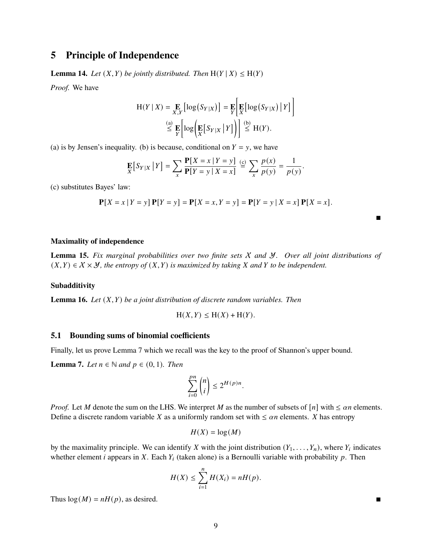## **5 Principle of Independence**

**Lemma 14.** *Let*  $(X, Y)$  *be jointly distributed. Then*  $H(Y | X) \leq H(Y)$ 

*Proof.* We have

$$
H(Y | X) = \underset{X,Y}{\mathbf{E}} \left[ \log(S_{Y|X}) \right] = \underset{Y}{\mathbf{E}} \left[ \underset{X}{\mathbf{E}} \left[ \log(S_{Y|X}) \, \middle| \, Y \right] \right]
$$
\n
$$
\stackrel{\text{(a)}}{\leq} \underset{Y}{\mathbf{E}} \left[ \log \left( \underset{X}{\mathbf{E}} \left[ S_{Y|X} \, \middle| \, Y \right] \right) \right] \stackrel{\text{(b)}}{\leq} H(Y).
$$

(a) is by Jensen's inequality. (b) is because, conditional on  $Y = y$ , we have

$$
\mathop{\mathbf{E}}_X[S_{Y|X} | Y] = \sum_{x} \frac{\mathop{\mathbf{P}}[X = x | Y = y]}{\mathop{\mathbf{P}}[Y = y | X = x]} \stackrel{\text{(c)}}{=} \sum_{x} \frac{p(x)}{p(y)} = \frac{1}{p(y)}.
$$

(c) substitutes Bayes' law:

$$
\mathbf{P}[X = x | Y = y] \mathbf{P}[Y = y] = \mathbf{P}[X = x, Y = y] = \mathbf{P}[Y = y | X = x] \mathbf{P}[X = x].
$$

#### **Maximality of independence**

**Lemma 15.** *Fix marginal probabilities over two finite sets* X *and* Y*. Over all joint distributions of*  $(X, Y) \in X \times Y$ , the entropy of  $(X, Y)$  is maximized by taking X and Y to be independent.

#### **Subadditivity**

**Lemma 16.** *Let*  $(X, Y)$  *be a joint distribution of discrete random variables. Then* 

$$
H(X,Y) \le H(X) + H(Y).
$$

### **5.1 Bounding sums of binomial coefficients**

Finally, let us prove [Lemma 7](#page-3-0) which we recall was the key to the proof of Shannon's upper bound.

**Lemma 7.** *Let*  $n \in \mathbb{N}$  *and*  $p \in (0, 1)$ *. Then* 

$$
\sum_{i=0}^{pn} \binom{n}{i} \le 2^{H(p)n}.
$$

*Proof.* Let M denote the sum on the LHS. We interpret M as the number of subsets of  $[n]$  with  $\leq \alpha n$  elements. Define a discrete random variable X as a uniformly random set with  $\leq \alpha n$  elements. X has entropy

$$
H(X) = \log(M)
$$

by the maximality principle. We can identify X with the joint distribution  $(Y_1, \ldots, Y_n)$ , where  $Y_i$  indicates whether element *i* appears in X. Each  $Y_i$  (taken alone) is a Bernoulli variable with probability  $p$ . Then

$$
H(X) \leq \sum_{i=1}^{n} H(X_i) = nH(p).
$$

Thus  $log(M) = nH(p)$ , as desired.

 $\blacksquare$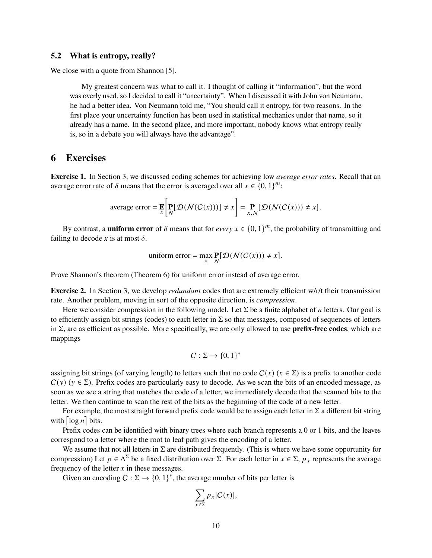### **5.2 What is entropy, really?**

We close with a quote from Shannon [\[5\]](#page-11-4).

My greatest concern was what to call it. I thought of calling it "information", but the word was overly used, so I decided to call it "uncertainty". When I discussed it with John von Neumann, he had a better idea. Von Neumann told me, "You should call it entropy, for two reasons. In the first place your uncertainty function has been used in statistical mechanics under that name, so it already has a name. In the second place, and more important, nobody knows what entropy really is, so in a debate you will always have the advantage".

### **6 Exercises**

**Exercise 1.** In [Section 3,](#page-2-0) we discussed coding schemes for achieving low *average error rates*. Recall that an average error rate of  $\delta$  means that the error is averaged over all  $x \in \{0, 1\}^m$ :

average error = 
$$
\mathbf{E}\left[\mathbf{P}[D(N(C(x)))] \neq x\right] = \mathbf{P}_{x,N}[D(N(C(x))) \neq x].
$$

By contrast, a **uniform error** of  $\delta$  means that for *every*  $x \in \{0, 1\}^m$ , the probability of transmitting and failing to decode x is at most  $\delta$ .

uniform error = 
$$
\max_{x} \mathbf{P}[D(N(C(x))) \neq x].
$$

Prove Shannon's theorem [\(Theorem 6\)](#page-3-1) for uniform error instead of average error.

**Exercise 2.** In [Section 3,](#page-2-0) we develop *redundant* codes that are extremely efficient w/r/t their transmission rate. Another problem, moving in sort of the opposite direction, is *compression*.

Here we consider compression in the following model. Let  $\Sigma$  be a finite alphabet of *n* letters. Our goal is to efficiently assign bit strings (codes) to each letter in  $\Sigma$  so that messages, composed of sequences of letters in Σ, are as efficient as possible. More specifically, we are only allowed to use **prefix-free codes**, which are mappings

$$
C: \Sigma \to \{0,1\}^*
$$

assigning bit strings (of varying length) to letters such that no code  $C(x)$  ( $x \in \Sigma$ ) is a prefix to another code  $C(y)$  ( $y \in \Sigma$ ). Prefix codes are particularly easy to decode. As we scan the bits of an encoded message, as soon as we see a string that matches the code of a letter, we immediately decode that the scanned bits to the letter. We then continue to scan the rest of the bits as the beginning of the code of a new letter.

For example, the most straight forward prefix code would be to assign each letter in  $\Sigma$  a different bit string with  $\lceil \log n \rceil$  bits.

Prefix codes can be identified with binary trees where each branch represents a 0 or 1 bits, and the leaves correspond to a letter where the root to leaf path gives the encoding of a letter.

We assume that not all letters in  $\Sigma$  are distributed frequently. (This is where we have some opportunity for compression) Let  $p \in \Delta^{\Sigma}$  be a fixed distribution over  $\Sigma$ . For each letter in  $x \in \Sigma$ ,  $p_x$  represents the average frequency of the letter  $x$  in these messages.

Given an encoding  $C : \Sigma \to \{0,1\}^*$ , the average number of bits per letter is

$$
\sum_{x \in \Sigma} p_x |C(x)|,
$$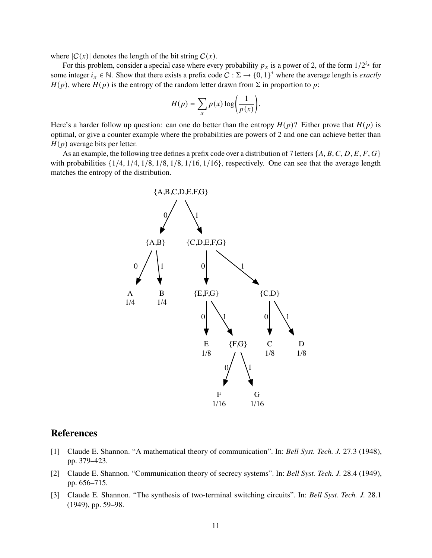where  $|C(x)|$  denotes the length of the bit string  $C(x)$ .

For this problem, consider a special case where every probability  $p_x$  is a power of 2, of the form  $1/2^{i_x}$  for some integer  $i_x \in \mathbb{N}$ . Show that there exists a prefix code  $C : \Sigma \to \{0, 1\}^*$  where the average length is *exactly*  $H(p)$ , where  $H(p)$  is the entropy of the random letter drawn from  $\Sigma$  in proportion to p:

$$
H(p) = \sum_{x} p(x) \log \left( \frac{1}{p(x)} \right).
$$

Here's a harder follow up question: can one do better than the entropy  $H(p)$ ? Either prove that  $H(p)$  is optimal, or give a counter example where the probabilities are powers of 2 and one can achieve better than  $H(p)$  average bits per letter.

As an example, the following tree defines a prefix code over a distribution of 7 letters  $\{A, B, C, D, E, F, G\}$ with probabilities  $\{1/4, 1/4, 1/8, 1/8, 1/8, 1/16, 1/16\}$ , respectively. One can see that the average length matches the entropy of the distribution.



## **References**

- [1] Claude E. Shannon. "A mathematical theory of communication". In: *Bell Syst. Tech. J.* 27.3 (1948), pp. 379–423.
- [2] Claude E. Shannon. "Communication theory of secrecy systems". In: *Bell Syst. Tech. J.* 28.4 (1949), pp. 656–715.
- [3] Claude E. Shannon. "The synthesis of two-terminal switching circuits". In: *Bell Syst. Tech. J.* 28.1 (1949), pp. 59–98.